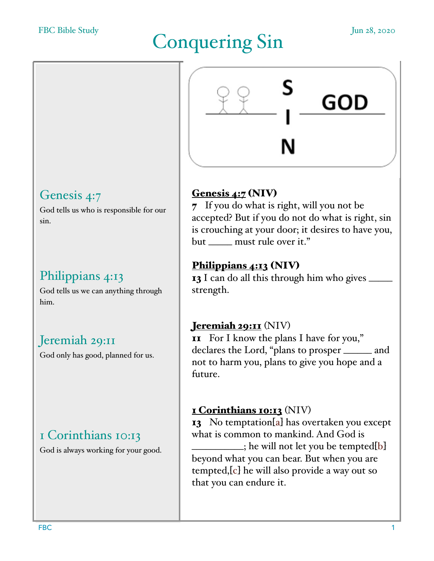#### FBC Bible Study

# Conquering Sin Jun 28, 2020



## Genesis 4:7

God tells us who is responsible for our sin.

# Philippians 4:13

God tells us we can anything through him.

## Jeremiah 29:11

God only has good, planned for us.

## 1 Corinthians 10:13

God is always working for your good.

## Genesis 4:7 (NIV)

7 If you do what is right, will you not be accepted? But if you do not do what is right, sin is crouching at your door; it desires to have you, but \_\_\_\_\_ must rule over it."

## [Philippians 4:13](https://www.biblegateway.com/passage/?search=Philippians+4%3A13&version=NIV) (NIV)

13 I can do all this through him who gives strength.

#### Jeremiah 29:11 (NIV)

11 For I know the plans I have for you," declares the Lord, "plans to prosper \_\_\_\_\_\_ and not to harm you, plans to give you hope and a future.

## 1 Corinthians 10:13 (NIV)

13 No temptation[a] has overtaken you except what is common to mankind. And God is  $\Box$ ; he will not let you be tempted[b] beyond what you can bear. But when you are tempted,[c] he will also provide a way out so that you can endure it.